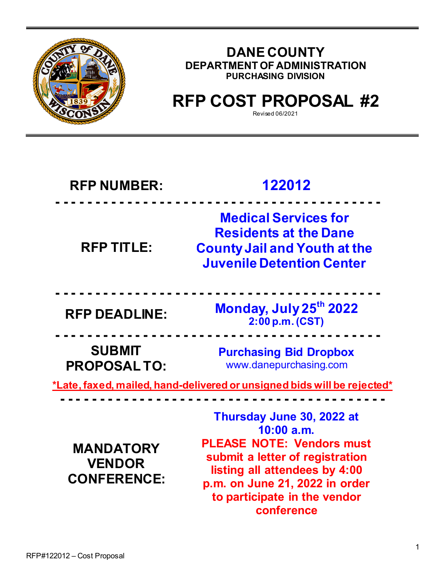

## **DANE COUNTY DEPARTMENT OF ADMINISTRATION PURCHASING DIVISION**

# **RFP COST PROPOSAL #2**

Revised 06/2021

## **RFP NUMBER: 122012 - - - - - - - - - - - - - - - - - - - - - - - - - - - - - - - - - - - - - - - - -**

**RFP TITLE: Medical Services for Residents at the Dane County Jail and Youth at the Juvenile Detention Center**

**- - - - - - - - - - - - - - - - - - - - - - - - - - - - - - - - - - - - - - - - - RFP DEADLINE: Monday, July 25th <sup>2022</sup> 2:00 p.m. (CST)**

**SUBMIT PROPOSAL TO:**

**Purchasing Bid Dropbox** www.danepurchasing.com

**\*Late, faxed, mailed, hand-delivered or unsigned bids will be rejected\***

**- - - - - - - - - - - - - - - - - - - - - - - - - - - - - - - - - - - - - - - - -**

**- - - - - - - - - - - - - - - - - - - - - - - - - - - - - - - - - - - - - - - - -**

**MANDATORY VENDOR CONFERENCE:** 

**Thursday June 30, 2022 at 10:00 a.m. PLEASE NOTE: Vendors must submit a letter of registration listing all attendees by 4:00 p.m. on June 21, 2022 in order to participate in the vendor conference**